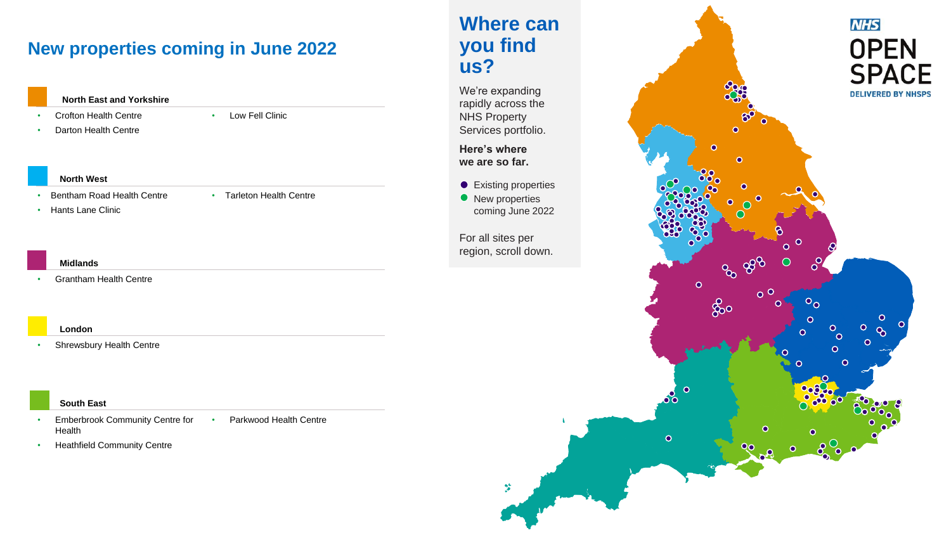### **New properties coming in June 2022**

- **North East and Yorkshire**
- Crofton Health Centre

• Low Fell Clinic

• Tarleton Health Centre

- Darton Health Centre
	- **North West**
- Bentham Road Health Centre
- Hants Lane Clinic

#### **Midlands**

• Grantham Health Centre

#### **London**

Shrewsbury Health Centre

#### **South East**

- Emberbrook Community Centre for Health • Parkwood Health Centre
- Heathfield Community Centre

### **Where can you find us?**

We're expanding rapidly across the NHS Property Services portfolio.

**Here's where we are so far.**

- **•** Existing properties
- New properties coming June 2022

For all sites per region, scroll down.

 $\mathcal{G}$ 

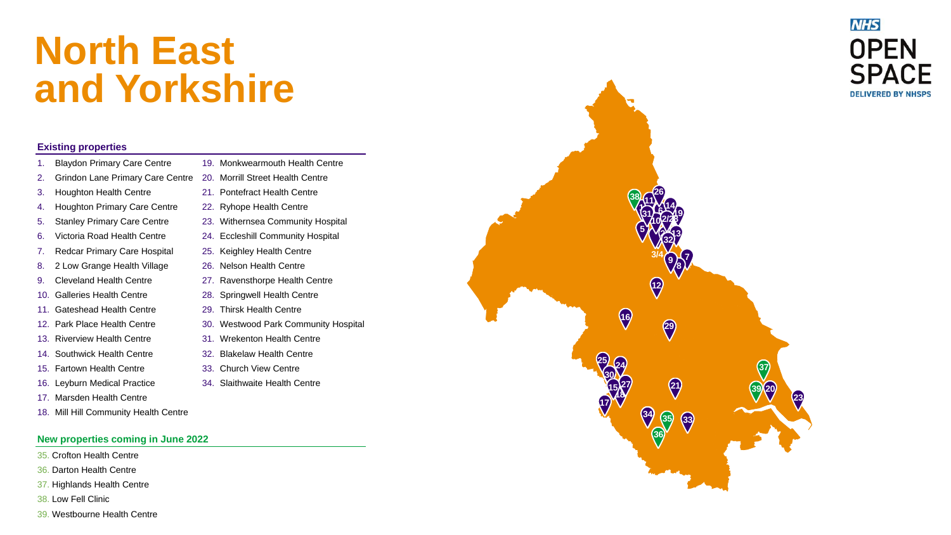### **North East and Yorkshire**

#### **Existing properties**

- 1. Blaydon Primary Care Centre
- 2. Grindon Lane Primary Care Centre
- 3. Houghton Health Centre
- 4. Houghton Primary Care Centre
- 5. Stanley Primary Care Centre
- 6. Victoria Road Health Centre
- 7. Redcar Primary Care Hospital
- 8. 2 Low Grange Health Village
- 9. Cleveland Health Centre
- 10. Galleries Health Centre
- 11. Gateshead Health Centre
- 12. Park Place Health Centre
- 13. Riverview Health Centre
- 14. Southwick Health Centre
- 15. Fartown Health Centre
- 16. Leyburn Medical Practice
- 17. Marsden Health Centre
- 18. Mill Hill Community Health Centre

#### **New properties coming in June 2022**

- 35. Crofton Health Centre
- 36. Darton Health Centre
- 37. Highlands Health Centre
- 38. Low Fell Clinic
- 39. Westbourne Health Centre
- 19. Monkwearmouth Health Centre 20. Morrill Street Health Centre
- 21. Pontefract Health Centre
- 22. Ryhope Health Centre
- 23. Withernsea Community Hospital
- 24. Eccleshill Community Hospital
- 25. Keighley Health Centre
- 26. Nelson Health Centre
- 27. Ravensthorpe Health Centre
- 28. Springwell Health Centre
- 29. Thirsk Health Centre
- 30. Westwood Park Community Hospital
- 31. Wrekenton Health Centre
- 32. Blakelaw Health Centre
- 33. Church View Centre
- 34. Slaithwaite Health Centre



**23**

**39**

**30**

**17**

**16**

**18 21 21 21 221 221** 

**<sup>34</sup> <sup>33</sup> 35**

**36**

**NHS OPEN SPACE DELIVERED BY NHSPS**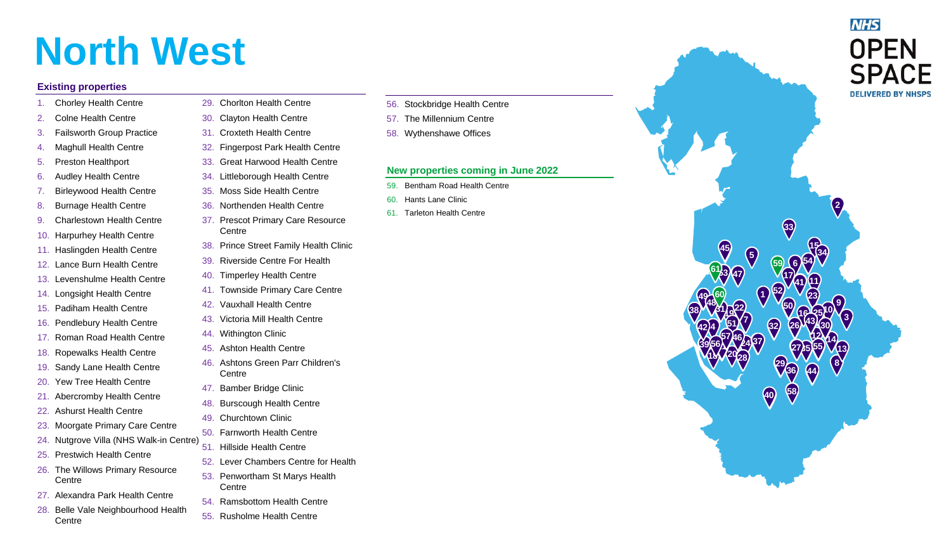## **North West**

#### **Existing properties**

- 1. Chorley Health Centre
- 2. Colne Health Centre
- 3. Failsworth Group Practice
- 4. Maghull Health Centre
- 5. Preston Healthport
- 6. Audley Health Centre
- 7. Birleywood Health Centre
- 8. Burnage Health Centre
- 9. Charlestown Health Centre
- 10. Harpurhey Health Centre
- 11. Haslingden Health Centre
- 12. Lance Burn Health Centre
- 13. Levenshulme Health Centre
- 14. Longsight Health Centre
- 15. Padiham Health Centre
- 16. Pendlebury Health Centre
- 17. Roman Road Health Centre
- 18. Ropewalks Health Centre
- 19. Sandy Lane Health Centre
- 20. Yew Tree Health Centre
- 21. Abercromby Health Centre
- 22. Ashurst Health Centre
- 23. Moorgate Primary Care Centre
- 24. Nutgrove Villa (NHS Walk -in Centre)
- 25. Prestwich Health Centre
- 26. The Willows Primary Resource **Centre**
- 27. Alexandra Park Health Centre
- 28. Belle Vale Neighbourhood Health **Centre**
- 29. Chorlton Health Centre
- 30. Clayton Health Centre
- 31. Croxteth Health Centre
- 32. Fingerpost Park Health Centre
- 33. Great Harwood Health Centre
- 34. Littleborough Health Centre
- 35. Moss Side Health Centre
- 36. Northenden Health Centre
- 37. Prescot Primary Care Resource **Centre**
- 38. Prince Street Family Health Clinic
- 39. Riverside Centre For Health
- 40. Timperley Health Centre
- 41. Townside Primary Care Centre
- 42. Vauxhall Health Centre
- 43. Victoria Mill Health Centre
- 44. Withington Clinic
- 45. Ashton Health Centre
- 46. Ashtons Green Parr Children's **Centre**
- 47. Bamber Bridge Clinic
- 48. Burscough Health Centre
- 49. Churchtown Clinic
- 50. Farnworth Health Centre
- 51. Hillside Health Centre
- 52. Lever Chambers Centre for Health
- 53. Penwortham St Marys Health **Centre**
- 54. Ramsbottom Health Centre
- 55. Rusholme Health Centre
- 56. Stockbridge Health Centre
- 57. The Millennium Centre
- 58. Wythenshawe Offices

#### **New properties coming in June 2022**

- 59. Bentham Road Health Centre
- 60. Hants Lane Clinic
- 61. Tarleton Health Centre

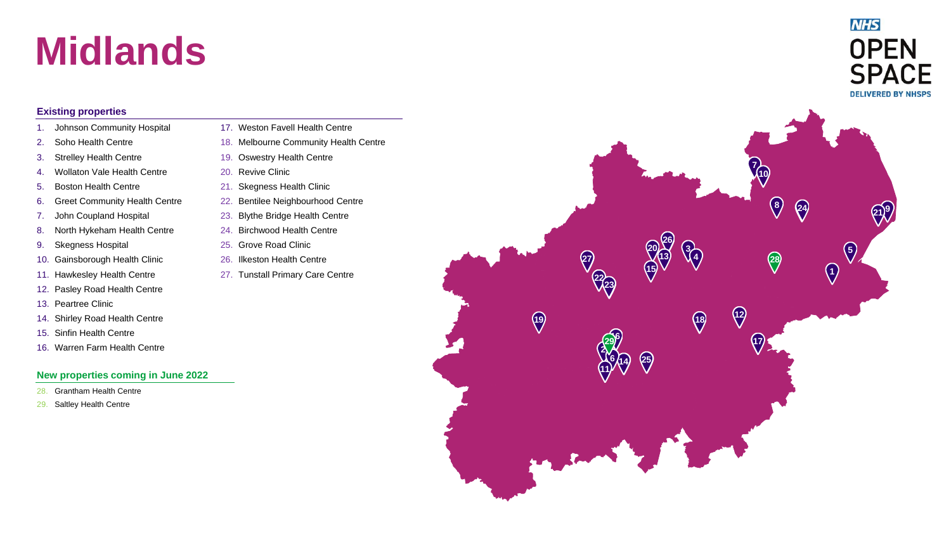### **Midlands**

#### **Existing properties**

- 1. Johnson Community Hospital
- 2. Soho Health Centre
- 3. Strelley Health Centre
- 4. Wollaton Vale Health Centre
- 5. Boston Health Centre
- 6. Greet Community Health Centre
- 7. John Coupland Hospital
- 8. North Hykeham Health Centre
- 9. Skegness Hospital
- 10. Gainsborough Health Clinic
- 11. Hawkesley Health Centre
- 12. Pasley Road Health Centre
- 13. Peartree Clinic
- 14. Shirley Road Health Centre
- 15. Sinfin Health Centre
- 16. Warren Farm Health Centre

#### **New properties coming in June 2022**

- 28. Grantham Health Centre
- 29. Saltley Health Centre
- 17. Weston Favell Health Centre
- 18. Melbourne Community Health Centre
- 19. Oswestry Health Centre
- 20. Revive Clinic
- 21. Skegness Health Clinic
- 22. Bentilee Neighbourhood Centre
- 23. Blythe Bridge Health Centre
- 24. Birchwood Health Centre
- 25. Grove Road Clinic
- 26. Ilkeston Health Centre
- 27. Tunstall Primary Care Centre



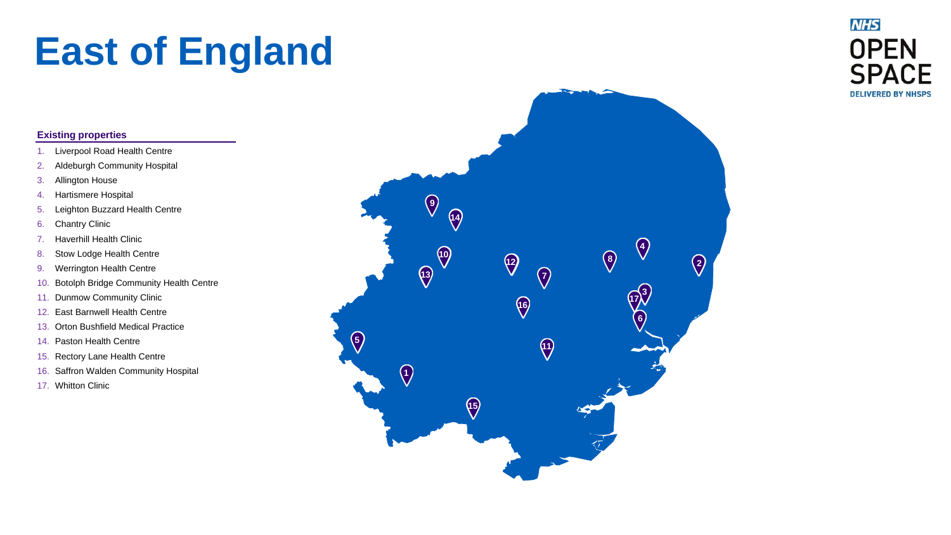# **East of England**

#### **Existing properties**

- 1. Liverpool Road Health Centre
- 2. Aldeburgh Community Hospital
- 3. Allington House
- 4. Hartismere Hospital
- 5. Leighton Buzzard Health Centre
- 6. Chantry Clinic
- 7. Haverhill Health Clinic
- 8. Stow Lodge Health Centre
- 9. Werrington Health Centre
- 10. Botolph Bridge Community Health Centre
- 11. Dunmow Community Clinic
- 12. East Barnwell Health Centre
- 13. Orton Bushfield Medical Practice
- 14. Paston Health Centre
- 15. Rectory Lane Health Centre
- 16. Saffron Walden Community Hospital
- 17. Whitton Clinic



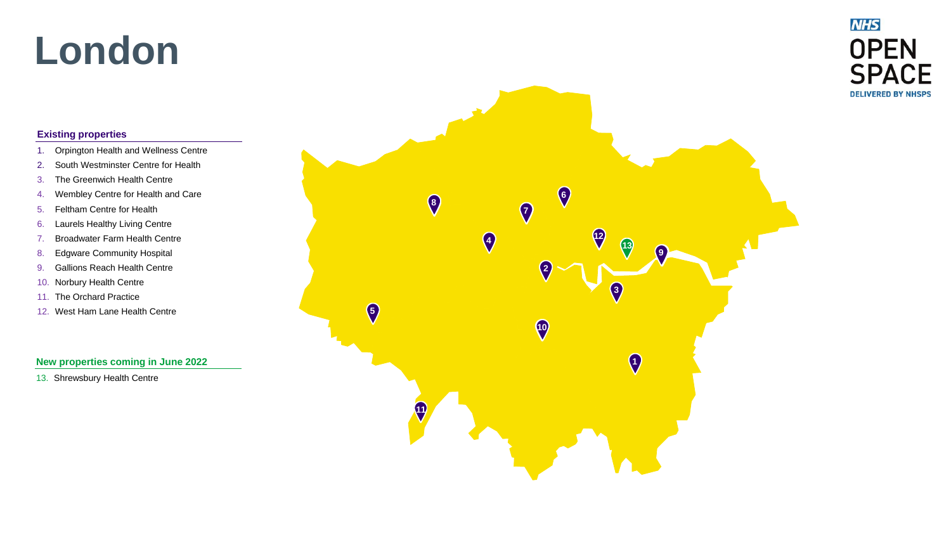# **London**

### **NHS OPEN SPACE DELIVERED BY NHSPS**

#### **Existing properties**

- 1. Orpington Health and Wellness Centre
- 2. South Westminster Centre for Health
- 3. The Greenwich Health Centre
- 4. Wembley Centre for Health and Care
- 5. Feltham Centre for Health
- 6. Laurels Healthy Living Centre
- 7. Broadwater Farm Health Centre
- 8. Edgware Community Hospital
- 9. Gallions Reach Health Centre
- 10. Norbury Health Centre
- 11. The Orchard Practice
- 12. West Ham Lane Health Centre

**New properties coming in June 2022**

13. Shrewsbury Health Centre

![](_page_5_Figure_17.jpeg)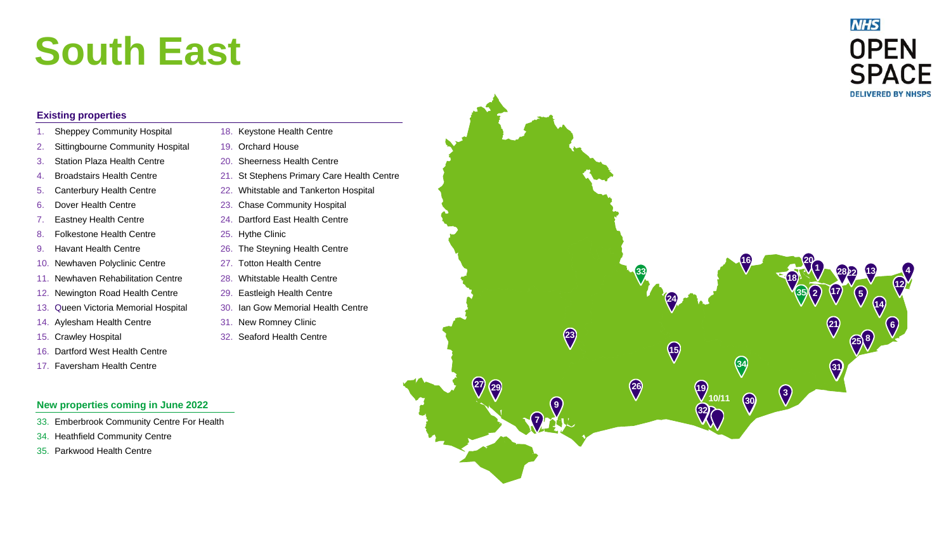## **South East**

#### **Existing properties**

- 1. Sheppey Community Hospital
- 2. Sittingbourne Community Hospital
- 3. Station Plaza Health Centre
- 4. Broadstairs Health Centre
- 5. Canterbury Health Centre
- 6. Dover Health Centre
- 7. Eastney Health Centre
- 8. Folkestone Health Centre
- 9. Havant Health Centre
- 10. Newhaven Polyclinic Centre
- 11. Newhaven Rehabilitation Centre
- 12. Newington Road Health Centre
- 13. Queen Victoria Memorial Hospital
- 14. Aylesham Health Centre
- 15. Crawley Hospital
- 16. Dartford West Health Centre
- 17. Faversham Health Centre

#### **New properties coming in June 2022**

- 33. Emberbrook Community Centre For Health
- 34. Heathfield Community Centre
- 35. Parkwood Health Centre
- 19. Orchard House
- 20. Sheerness Health Centre

18. Keystone Health Centre

- 21. St Stephens Primary Care Health Centre
- 22. Whitstable and Tankerton Hospital
- 23. Chase Community Hospital
- 24. Dartford East Health Centre
- 25. Hythe Clinic
- 26. The Steyning Health Centre
- 27. Totton Health Centre
- 28. Whitstable Health Centre
- 29. Eastleigh Health Centre
- 30. Ian Gow Memorial Health Centre
- 31. New Romney Clinic
- 32. Seaford Health Centre

![](_page_6_Picture_37.jpeg)

**14**

**6**

**5**

**13**

**8**

**4**

**12**

**17**

**<sup>22</sup> <sup>1</sup>**

**28**

**21**

**31**

**18**

**35**

**3**

**20**

**2**

**15**

**24**

**33**

**7**

**9**

**27 26 29**

**23**

**19**

**32**

**10/11**

**16**

**30**

**34**